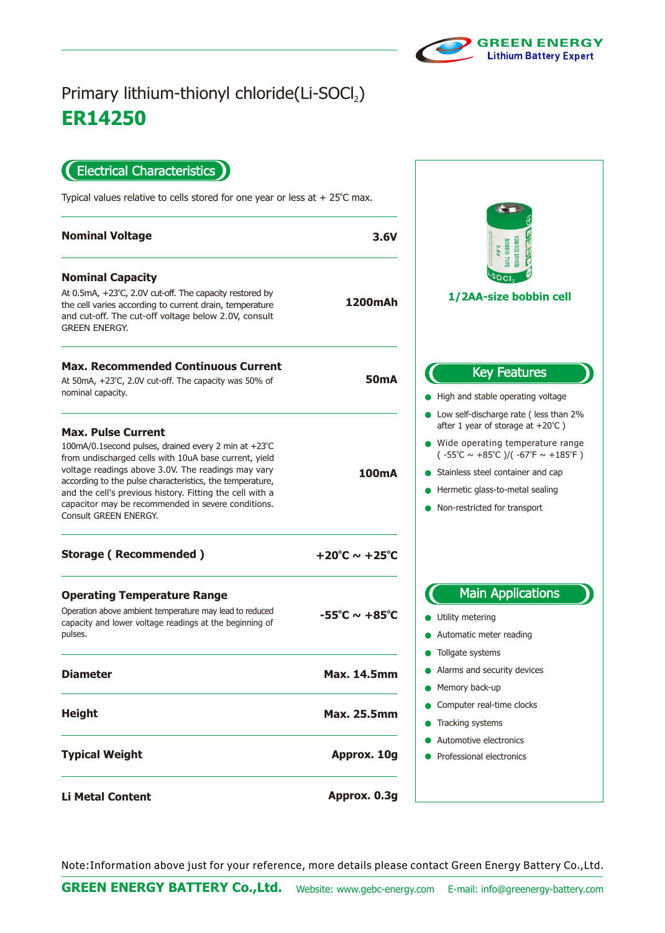

## **ER14250** Primary lithium-thionyl chloride(Li-SOCl2)

Electrical Characteristics  $\blacksquare$ 

Typical values relative to cells stored for one year or less at  $+25^{\circ}$ C max.

| <b>Nominal Voltage</b>                                                                                                                                                                                                                                                                                                                                                                                  | 3.6V                              | BOBBIN TYPE<br>3.6V                                                                                                                                                                                                                                                                                           |
|---------------------------------------------------------------------------------------------------------------------------------------------------------------------------------------------------------------------------------------------------------------------------------------------------------------------------------------------------------------------------------------------------------|-----------------------------------|---------------------------------------------------------------------------------------------------------------------------------------------------------------------------------------------------------------------------------------------------------------------------------------------------------------|
| <b>Nominal Capacity</b><br>At $0.5mA$ , $+23^{\circ}C$ , 2.0V cut-off. The capacity restored by<br>the cell varies according to current drain, temperature<br>and cut-off. The cut-off voltage below 2.0V, consult<br><b>GREEN ENERGY.</b>                                                                                                                                                              | <b>1200mAh</b>                    | 1/2AA-size bobbin cell                                                                                                                                                                                                                                                                                        |
| <b>Max. Recommended Continuous Current</b><br>At 50mA, +23°C, 2.0V cut-off. The capacity was 50% of<br>nominal capacity.                                                                                                                                                                                                                                                                                | <b>50mA</b>                       | <b>Key Features</b><br>High and stable operating voltage                                                                                                                                                                                                                                                      |
| <b>Max. Pulse Current</b><br>100mA/0.1second pulses, drained every 2 min at +23°C<br>from undischarged cells with 10uA base current, yield<br>voltage readings above 3.0V. The readings may vary<br>according to the pulse characteristics, the temperature,<br>and the cell's previous history. Fitting the cell with a<br>capacitor may be recommended in severe conditions.<br>Consult GREEN ENERGY. | <b>100mA</b>                      | • Low self-discharge rate (less than 2%<br>after 1 year of storage at $+20^{\circ}$ C )<br>• Wide operating temperature range<br>$(.55^{\circ}C \sim +85^{\circ}C)/(.67^{\circ}F \sim +185^{\circ}F)$<br>Stainless steel container and cap<br>Hermetic glass-to-metal sealing<br>Non-restricted for transport |
| <b>Storage (Recommended)</b>                                                                                                                                                                                                                                                                                                                                                                            | $+20^{\circ}$ C ~ $+25^{\circ}$ C |                                                                                                                                                                                                                                                                                                               |
| <b>Operating Temperature Range</b><br>Operation above ambient temperature may lead to reduced<br>capacity and lower voltage readings at the beginning of<br>pulses.                                                                                                                                                                                                                                     | $-55^{\circ}$ C ~ $+85^{\circ}$ C | <b>Main Applications</b><br>Utility metering<br>Automatic meter reading                                                                                                                                                                                                                                       |
| <b>Diameter</b>                                                                                                                                                                                                                                                                                                                                                                                         | <b>Max. 14.5mm</b>                | Tollgate systems<br>Alarms and security devices<br>• Memory back-up                                                                                                                                                                                                                                           |
| <b>Height</b>                                                                                                                                                                                                                                                                                                                                                                                           | <b>Max. 25.5mm</b>                | • Computer real-time clocks<br>• Tracking systems                                                                                                                                                                                                                                                             |
| <b>Typical Weight</b>                                                                                                                                                                                                                                                                                                                                                                                   | Approx. 10g                       | Automotive electronics<br>Professional electronics                                                                                                                                                                                                                                                            |
| <b>Li Metal Content</b>                                                                                                                                                                                                                                                                                                                                                                                 | Approx. 0.3g                      |                                                                                                                                                                                                                                                                                                               |

Note:Information above just for your reference, more details please contact Green Energy Battery Co.,Ltd.